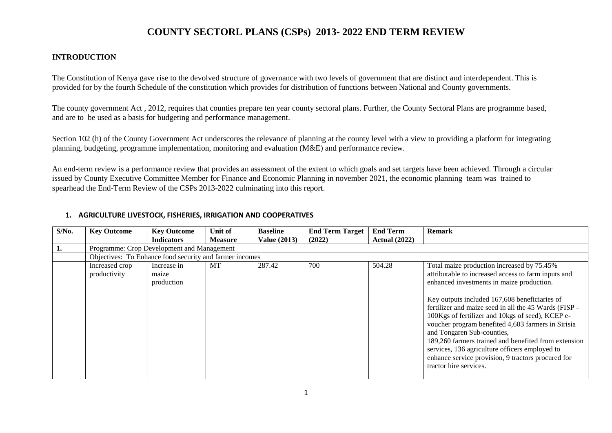#### **INTRODUCTION**

The Constitution of Kenya gave rise to the devolved structure of governance with two levels of government that are distinct and interdependent. This is provided for by the fourth Schedule of the constitution which provides for distribution of functions between National and County governments.

The county government Act , 2012, requires that counties prepare ten year county sectoral plans. Further, the County Sectoral Plans are programme based, and are to be used as a basis for budgeting and performance management.

Section 102 (h) of the County Government Act underscores the relevance of planning at the county level with a view to providing a platform for integrating planning, budgeting, programme implementation, monitoring and evaluation (M&E) and performance review.

An end-term review is a performance review that provides an assessment of the extent to which goals and set targets have been achieved. Through a circular issued by County Executive Committee Member for Finance and Economic Planning in november 2021, the economic planning team was trained to spearhead the End-Term Review of the CSPs 2013-2022 culminating into this report.

| $S/N0$ . | <b>Key Outcome</b>                                      | <b>Key Outcome</b>                 | Unit of        | <b>Baseline</b>     | <b>End Term Target</b> | <b>End Term</b>      | <b>Remark</b>                                                                                                                                                                                                                                                                                                                                                                                                                                                                                                                                                                              |  |  |  |
|----------|---------------------------------------------------------|------------------------------------|----------------|---------------------|------------------------|----------------------|--------------------------------------------------------------------------------------------------------------------------------------------------------------------------------------------------------------------------------------------------------------------------------------------------------------------------------------------------------------------------------------------------------------------------------------------------------------------------------------------------------------------------------------------------------------------------------------------|--|--|--|
|          |                                                         | <b>Indicators</b>                  | <b>Measure</b> | <b>Value (2013)</b> | (2022)                 | <b>Actual</b> (2022) |                                                                                                                                                                                                                                                                                                                                                                                                                                                                                                                                                                                            |  |  |  |
|          | Programme: Crop Development and Management              |                                    |                |                     |                        |                      |                                                                                                                                                                                                                                                                                                                                                                                                                                                                                                                                                                                            |  |  |  |
|          | Objectives: To Enhance food security and farmer incomes |                                    |                |                     |                        |                      |                                                                                                                                                                                                                                                                                                                                                                                                                                                                                                                                                                                            |  |  |  |
|          | Increased crop<br>productivity                          | Increase in<br>maize<br>production | <b>MT</b>      | 287.42              | 700                    | 504.28               | Total maize production increased by 75.45%<br>attributable to increased access to farm inputs and<br>enhanced investments in maize production.<br>Key outputs included 167,608 beneficiaries of<br>fertilizer and maize seed in all the 45 Wards (FISP -<br>100Kgs of fertilizer and 10kgs of seed), KCEP e-<br>voucher program benefited 4,603 farmers in Sirisia<br>and Tongaren Sub-counties,<br>189,260 farmers trained and benefited from extension<br>services, 136 agriculture officers employed to<br>enhance service provision, 9 tractors procured for<br>tractor hire services. |  |  |  |

#### **1. AGRICULTURE LIVESTOCK, FISHERIES, IRRIGATION AND COOPERATIVES**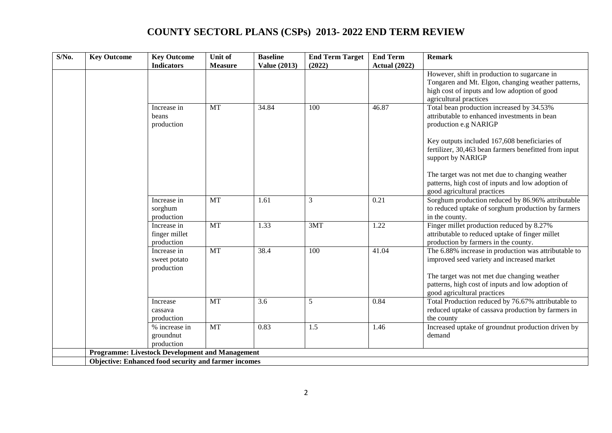| $S/N0$ . | <b>Key Outcome</b> | <b>Key Outcome</b><br><b>Indicators</b>                | Unit of<br><b>Measure</b> | <b>Baseline</b><br><b>Value (2013)</b> | <b>End Term Target</b><br>(2022) | <b>End Term</b><br><b>Actual (2022)</b> | <b>Remark</b>                                                                                                                                                                                                                                                                                                                                            |
|----------|--------------------|--------------------------------------------------------|---------------------------|----------------------------------------|----------------------------------|-----------------------------------------|----------------------------------------------------------------------------------------------------------------------------------------------------------------------------------------------------------------------------------------------------------------------------------------------------------------------------------------------------------|
|          |                    |                                                        |                           |                                        |                                  |                                         | However, shift in production to sugarcane in<br>Tongaren and Mt. Elgon, changing weather patterns,<br>high cost of inputs and low adoption of good<br>agricultural practices                                                                                                                                                                             |
|          |                    | Increase in<br>beans<br>production                     | <b>MT</b>                 | 34.84                                  | 100                              | 46.87                                   | Total bean production increased by 34.53%<br>attributable to enhanced investments in bean<br>production e.g NARIGP<br>Key outputs included 167,608 beneficiaries of<br>fertilizer, 30,463 bean farmers benefitted from input<br>support by NARIGP<br>The target was not met due to changing weather<br>patterns, high cost of inputs and low adoption of |
|          |                    | Increase in<br>sorghum<br>production                   | <b>MT</b>                 | 1.61                                   | 3                                | 0.21                                    | good agricultural practices<br>Sorghum production reduced by 86.96% attributable<br>to reduced uptake of sorghum production by farmers<br>in the county.                                                                                                                                                                                                 |
|          |                    | Increase in<br>finger millet<br>production             | <b>MT</b>                 | 1.33                                   | 3MT                              | 1.22                                    | Finger millet production reduced by 8.27%<br>attributable to reduced uptake of finger millet<br>production by farmers in the county.                                                                                                                                                                                                                     |
|          |                    | Increase in<br>sweet potato<br>production              | <b>MT</b>                 | 38.4                                   | 100                              | 41.04                                   | The 6.88% increase in production was attributable to<br>improved seed variety and increased market<br>The target was not met due changing weather<br>patterns, high cost of inputs and low adoption of<br>good agricultural practices                                                                                                                    |
|          |                    | Increase<br>cassava<br>production                      | <b>MT</b>                 | 3.6                                    | 5                                | 0.84                                    | Total Production reduced by 76.67% attributable to<br>reduced uptake of cassava production by farmers in<br>the county                                                                                                                                                                                                                                   |
|          |                    | % increase in<br>groundnut<br>production               | <b>MT</b>                 | 0.83                                   | 1.5                              | 1.46                                    | Increased uptake of groundnut production driven by<br>demand                                                                                                                                                                                                                                                                                             |
|          |                    | <b>Programme: Livestock Development and Management</b> |                           |                                        |                                  |                                         |                                                                                                                                                                                                                                                                                                                                                          |
|          |                    | Objective: Enhanced food security and farmer incomes   |                           |                                        |                                  |                                         |                                                                                                                                                                                                                                                                                                                                                          |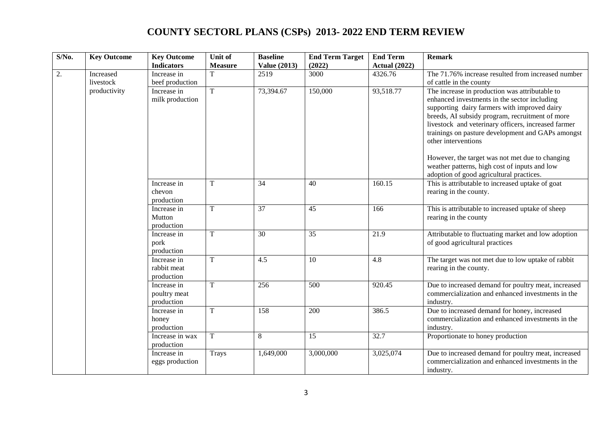| $S/N0$ . | <b>Key Outcome</b>     | <b>Key Outcome</b><br><b>Indicators</b>   | Unit of<br><b>Measure</b> | <b>Baseline</b><br><b>Value (2013)</b> | <b>End Term Target</b><br>(2022) | <b>End Term</b><br><b>Actual (2022)</b> | <b>Remark</b>                                                                                                                                                                                                                                                                                                                        |
|----------|------------------------|-------------------------------------------|---------------------------|----------------------------------------|----------------------------------|-----------------------------------------|--------------------------------------------------------------------------------------------------------------------------------------------------------------------------------------------------------------------------------------------------------------------------------------------------------------------------------------|
| 2.       | Increased<br>livestock | Increase in<br>beef production            |                           | 2519                                   | 3000                             | 4326.76                                 | The 71.76% increase resulted from increased number<br>of cattle in the county                                                                                                                                                                                                                                                        |
|          | productivity           | Increase in<br>milk production            | T                         | 73,394.67                              | 150,000                          | 93,518.77                               | The increase in production was attributable to<br>enhanced investments in the sector including<br>supporting dairy farmers with improved dairy<br>breeds, AI subsidy program, recruitment of more<br>livestock and veterinary officers, increased farmer<br>trainings on pasture development and GAPs amongst<br>other interventions |
|          |                        |                                           |                           |                                        |                                  |                                         | However, the target was not met due to changing<br>weather patterns, high cost of inputs and low<br>adoption of good agricultural practices.                                                                                                                                                                                         |
|          |                        | Increase in<br>chevon<br>production       | T                         | 34                                     | 40                               | 160.15                                  | This is attributable to increased uptake of goat<br>rearing in the county.                                                                                                                                                                                                                                                           |
|          |                        | Increase in<br>Mutton<br>production       | T                         | 37                                     | 45                               | 166                                     | This is attributable to increased uptake of sheep<br>rearing in the county                                                                                                                                                                                                                                                           |
|          |                        | Increase in<br>pork<br>production         | T                         | 30                                     | $\overline{35}$                  | 21.9                                    | Attributable to fluctuating market and low adoption<br>of good agricultural practices                                                                                                                                                                                                                                                |
|          |                        | Increase in<br>rabbit meat<br>production  | T                         | 4.5                                    | 10                               | 4.8                                     | The target was not met due to low uptake of rabbit<br>rearing in the county.                                                                                                                                                                                                                                                         |
|          |                        | Increase in<br>poultry meat<br>production | $\mathbf T$               | 256                                    | 500                              | 920.45                                  | Due to increased demand for poultry meat, increased<br>commercialization and enhanced investments in the<br>industry.                                                                                                                                                                                                                |
|          |                        | Increase in<br>honey<br>production        | $\rm T$                   | 158                                    | 200                              | 386.5                                   | Due to increased demand for honey, increased<br>commercialization and enhanced investments in the<br>industry.                                                                                                                                                                                                                       |
|          |                        | Increase in wax<br>production             | T                         | 8                                      | 15                               | 32.7                                    | Proportionate to honey production                                                                                                                                                                                                                                                                                                    |
|          |                        | Increase in<br>eggs production            | Trays                     | 1,649,000                              | 3,000,000                        | 3,025,074                               | Due to increased demand for poultry meat, increased<br>commercialization and enhanced investments in the<br>industry.                                                                                                                                                                                                                |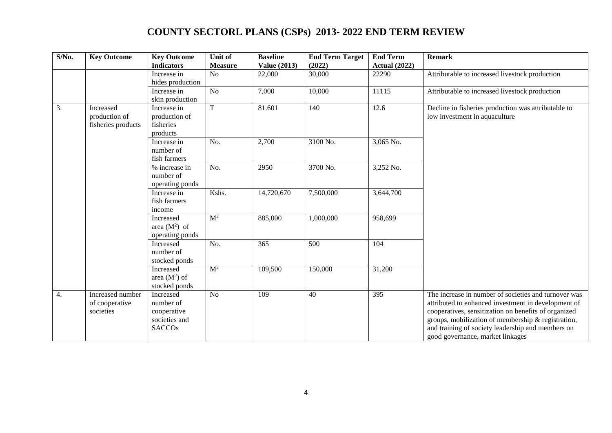| $S/N0$ .         | <b>Key Outcome</b>                               | <b>Key Outcome</b><br><b>Indicators</b>                                 | Unit of<br><b>Measure</b> | <b>Baseline</b><br><b>Value (2013)</b> | <b>End Term Target</b><br>(2022) | <b>End Term</b><br><b>Actual (2022)</b> | <b>Remark</b>                                                                                                                                                                                                                                                                                                      |
|------------------|--------------------------------------------------|-------------------------------------------------------------------------|---------------------------|----------------------------------------|----------------------------------|-----------------------------------------|--------------------------------------------------------------------------------------------------------------------------------------------------------------------------------------------------------------------------------------------------------------------------------------------------------------------|
|                  |                                                  | Increase in<br>hides production                                         | N <sub>o</sub>            | 22,000                                 | 30,000                           | 22290                                   | Attributable to increased livestock production                                                                                                                                                                                                                                                                     |
|                  |                                                  | Increase in<br>skin production                                          | N <sub>o</sub>            | 7,000                                  | 10,000                           | 11115                                   | Attributable to increased livestock production                                                                                                                                                                                                                                                                     |
| $\overline{3}$ . | Increased<br>production of<br>fisheries products | Increase in<br>production of<br>fisheries<br>products                   | $\overline{T}$            | 81.601                                 | 140                              | 12.6                                    | Decline in fisheries production was attributable to<br>low investment in aquaculture                                                                                                                                                                                                                               |
|                  |                                                  | Increase in<br>number of<br>fish farmers                                | No.                       | 2,700                                  | 3100 No.                         | $3,065$ No.                             |                                                                                                                                                                                                                                                                                                                    |
|                  |                                                  | % increase in<br>number of<br>operating ponds                           | No.                       | 2950                                   | 3700 No.                         | 3,252 No.                               |                                                                                                                                                                                                                                                                                                                    |
|                  |                                                  | Increase in<br>fish farmers<br>income                                   | Kshs.                     | 14,720,670                             | 7,500,000                        | 3,644,700                               |                                                                                                                                                                                                                                                                                                                    |
|                  |                                                  | Increased<br>area $(M^2)$ of<br>operating ponds                         | $\overline{M^2}$          | 885,000                                | 1,000,000                        | 958,699                                 |                                                                                                                                                                                                                                                                                                                    |
|                  |                                                  | Increased<br>number of<br>stocked ponds                                 | No.                       | 365                                    | 500                              | 104                                     |                                                                                                                                                                                                                                                                                                                    |
|                  |                                                  | Increased<br>area $(M^2)$ of<br>stocked ponds                           | $\overline{M^2}$          | 109,500                                | 150,000                          | 31,200                                  |                                                                                                                                                                                                                                                                                                                    |
| $\overline{4}$ . | Increased number<br>of cooperative<br>societies  | Increased<br>number of<br>cooperative<br>societies and<br><b>SACCOs</b> | N <sub>o</sub>            | 109                                    | 40                               | 395                                     | The increase in number of societies and turnover was<br>attributed to enhanced investment in development of<br>cooperatives, sensitization on benefits of organized<br>groups, mobilization of membership & registration,<br>and training of society leadership and members on<br>good governance, market linkages |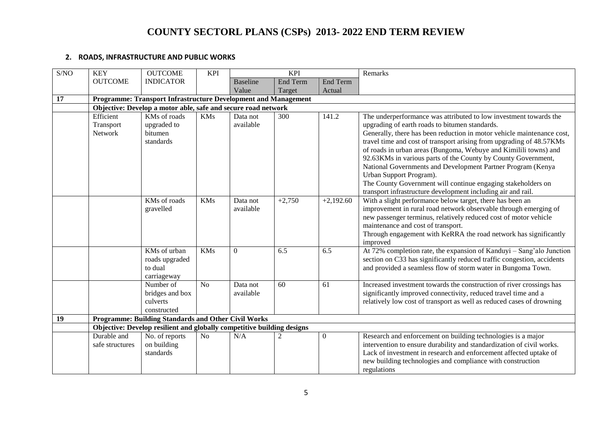#### **2. ROADS, INFRASTRUCTURE AND PUBLIC WORKS**

| S/NO | <b>KEY</b>      | <b>OUTCOME</b>                                                         | <b>KPI</b>     |                 | <b>KPI</b>      |                 | Remarks                                                                          |
|------|-----------------|------------------------------------------------------------------------|----------------|-----------------|-----------------|-----------------|----------------------------------------------------------------------------------|
|      | <b>OUTCOME</b>  | <b>INDICATOR</b>                                                       |                | <b>Baseline</b> | <b>End Term</b> | <b>End Term</b> |                                                                                  |
|      |                 |                                                                        |                | Value           | Target          | Actual          |                                                                                  |
| 17   |                 | Programme: Transport Infrastructure Development and Management         |                |                 |                 |                 |                                                                                  |
|      |                 | Objective: Develop a motor able, safe and secure road network          |                |                 |                 |                 |                                                                                  |
|      | Efficient       | KMs of roads                                                           | <b>KMs</b>     | Data not        | 300             | 141.2           | The underperformance was attributed to low investment towards the                |
|      | Transport       | upgraded to                                                            |                | available       |                 |                 | upgrading of earth roads to bitumen standards.                                   |
|      | Network         | bitumen                                                                |                |                 |                 |                 | Generally, there has been reduction in motor vehicle maintenance cost,           |
|      |                 | standards                                                              |                |                 |                 |                 | travel time and cost of transport arising from upgrading of 48.57KMs             |
|      |                 |                                                                        |                |                 |                 |                 | of roads in urban areas (Bungoma, Webuye and Kimilili towns) and                 |
|      |                 |                                                                        |                |                 |                 |                 | 92.63KMs in various parts of the County by County Government,                    |
|      |                 |                                                                        |                |                 |                 |                 | National Governments and Development Partner Program (Kenya                      |
|      |                 |                                                                        |                |                 |                 |                 | Urban Support Program).                                                          |
|      |                 |                                                                        |                |                 |                 |                 | The County Government will continue engaging stakeholders on                     |
|      |                 |                                                                        |                |                 |                 |                 | transport infrastructure development including air and rail.                     |
|      |                 | KMs of roads                                                           | <b>KMs</b>     | Data not        | $+2,750$        | $+2,192.60$     | With a slight performance below target, there has been an                        |
|      |                 | gravelled                                                              |                | available       |                 |                 | improvement in rural road network observable through emerging of                 |
|      |                 |                                                                        |                |                 |                 |                 | new passenger terminus, relatively reduced cost of motor vehicle                 |
|      |                 |                                                                        |                |                 |                 |                 | maintenance and cost of transport.                                               |
|      |                 |                                                                        |                |                 |                 |                 | Through engagement with KeRRA the road network has significantly                 |
|      |                 | KMs of urban                                                           | <b>KMs</b>     | $\overline{0}$  | 6.5             | 6.5             | improved<br>At 72% completion rate, the expansion of Kanduyi – Sang'alo Junction |
|      |                 | roads upgraded                                                         |                |                 |                 |                 | section on C33 has significantly reduced traffic congestion, accidents           |
|      |                 | to dual                                                                |                |                 |                 |                 | and provided a seamless flow of storm water in Bungoma Town.                     |
|      |                 | carriageway                                                            |                |                 |                 |                 |                                                                                  |
|      |                 | Number of                                                              | N <sub>o</sub> | Data not        | 60              | 61              | Increased investment towards the construction of river crossings has             |
|      |                 | bridges and box                                                        |                | available       |                 |                 | significantly improved connectivity, reduced travel time and a                   |
|      |                 | culverts                                                               |                |                 |                 |                 | relatively low cost of transport as well as reduced cases of drowning            |
|      |                 | constructed                                                            |                |                 |                 |                 |                                                                                  |
| 19   |                 | Programme: Building Standards and Other Civil Works                    |                |                 |                 |                 |                                                                                  |
|      |                 | Objective: Develop resilient and globally competitive building designs |                |                 |                 |                 |                                                                                  |
|      | Durable and     | No. of reports                                                         | N <sub>o</sub> | N/A             | 2               | $\mathbf{0}$    | Research and enforcement on building technologies is a major                     |
|      | safe structures | on building                                                            |                |                 |                 |                 | intervention to ensure durability and standardization of civil works.            |
|      |                 | standards                                                              |                |                 |                 |                 | Lack of investment in research and enforcement affected uptake of                |
|      |                 |                                                                        |                |                 |                 |                 | new building technologies and compliance with construction                       |
|      |                 |                                                                        |                |                 |                 |                 | regulations                                                                      |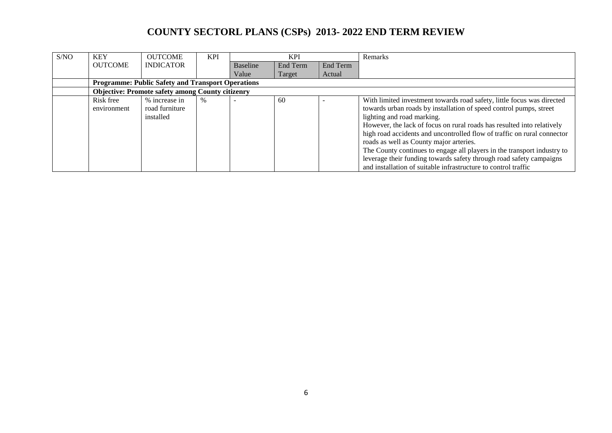| S/NO | <b>KEY</b>     | <b>OUTCOME</b>                                           | <b>KPI</b> |                 | <b>KPI</b> |          | Remarks                                                                 |
|------|----------------|----------------------------------------------------------|------------|-----------------|------------|----------|-------------------------------------------------------------------------|
|      | <b>OUTCOME</b> | <b>INDICATOR</b>                                         |            | <b>Baseline</b> | End Term   | End Term |                                                                         |
|      |                |                                                          |            | Value           | Target     | Actual   |                                                                         |
|      |                | <b>Programme: Public Safety and Transport Operations</b> |            |                 |            |          |                                                                         |
|      |                | <b>Objective: Promote safety among County citizenry</b>  |            |                 |            |          |                                                                         |
|      | Risk free      | % increase in                                            | $\%$       |                 | 60         |          | With limited investment towards road safety, little focus was directed  |
|      | environment    | road furniture                                           |            |                 |            |          | towards urban roads by installation of speed control pumps, street      |
|      |                | installed                                                |            |                 |            |          | lighting and road marking.                                              |
|      |                |                                                          |            |                 |            |          | However, the lack of focus on rural roads has resulted into relatively  |
|      |                |                                                          |            |                 |            |          | high road accidents and uncontrolled flow of traffic on rural connector |
|      |                |                                                          |            |                 |            |          | roads as well as County major arteries.                                 |
|      |                |                                                          |            |                 |            |          | The County continues to engage all players in the transport industry to |
|      |                |                                                          |            |                 |            |          | leverage their funding towards safety through road safety campaigns     |
|      |                |                                                          |            |                 |            |          | and installation of suitable infrastructure to control traffic          |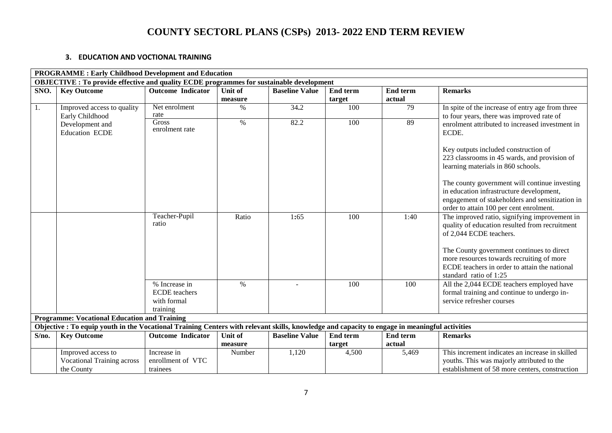#### **3. EDUCATION AND VOCTIONAL TRAINING**

|       | <b>PROGRAMME: Early Childhood Development and Education</b>                                                                                   |                                                 |                    |                       |                    |                           |                                                                                                                                                                                                                                                                                                                                              |  |  |  |
|-------|-----------------------------------------------------------------------------------------------------------------------------------------------|-------------------------------------------------|--------------------|-----------------------|--------------------|---------------------------|----------------------------------------------------------------------------------------------------------------------------------------------------------------------------------------------------------------------------------------------------------------------------------------------------------------------------------------------|--|--|--|
|       | <b>OBJECTIVE : To provide effective and quality ECDE programmes for sustainable development</b>                                               |                                                 |                    |                       |                    |                           |                                                                                                                                                                                                                                                                                                                                              |  |  |  |
| SNO.  | <b>Key Outcome</b>                                                                                                                            | <b>Outcome Indicator</b>                        | Unit of            | <b>Baseline Value</b> | End term           | <b>End term</b>           | <b>Remarks</b>                                                                                                                                                                                                                                                                                                                               |  |  |  |
|       |                                                                                                                                               |                                                 | measure            |                       | target             | actual                    |                                                                                                                                                                                                                                                                                                                                              |  |  |  |
| 1.    | Improved access to quality<br>Early Childhood                                                                                                 | Net enrolment<br>rate                           | $\%$               | 34.2                  | 100                | 79                        | In spite of the increase of entry age from three<br>to four years, there was improved rate of                                                                                                                                                                                                                                                |  |  |  |
|       | Development and                                                                                                                               | <b>Gross</b>                                    | $\%$               | 82.2                  | 100                | 89                        | enrolment attributed to increased investment in                                                                                                                                                                                                                                                                                              |  |  |  |
|       | <b>Education ECDE</b>                                                                                                                         | enrolment rate                                  |                    |                       |                    |                           | ECDE.                                                                                                                                                                                                                                                                                                                                        |  |  |  |
|       |                                                                                                                                               |                                                 |                    |                       |                    |                           | Key outputs included construction of<br>223 classrooms in 45 wards, and provision of<br>learning materials in 860 schools.<br>The county government will continue investing<br>in education infrastructure development,<br>engagement of stakeholders and sensitization in<br>order to attain 100 per cent enrolment.                        |  |  |  |
|       |                                                                                                                                               | Teacher-Pupil<br>ratio<br>% Increase in         | Ratio<br>$\%$      | 1:65                  | 100<br>100         | 1:40<br>100               | The improved ratio, signifying improvement in<br>quality of education resulted from recruitment<br>of 2,044 ECDE teachers.<br>The County government continues to direct<br>more resources towards recruiting of more<br>ECDE teachers in order to attain the national<br>standard ratio of 1:25<br>All the 2,044 ECDE teachers employed have |  |  |  |
|       |                                                                                                                                               | <b>ECDE</b> teachers<br>with formal<br>training |                    |                       |                    |                           | formal training and continue to undergo in-<br>service refresher courses                                                                                                                                                                                                                                                                     |  |  |  |
|       | <b>Programme: Vocational Education and Training</b>                                                                                           |                                                 |                    |                       |                    |                           |                                                                                                                                                                                                                                                                                                                                              |  |  |  |
|       | Objective : To equip youth in the Vocational Training Centers with relevant skills, knowledge and capacity to engage in meaningful activities |                                                 |                    |                       |                    |                           |                                                                                                                                                                                                                                                                                                                                              |  |  |  |
| S/no. | <b>Key Outcome</b>                                                                                                                            | <b>Outcome Indicator</b>                        | Unit of<br>measure | <b>Baseline Value</b> | End term<br>target | <b>End term</b><br>actual | <b>Remarks</b>                                                                                                                                                                                                                                                                                                                               |  |  |  |
|       | Improved access to<br><b>Vocational Training across</b><br>the County                                                                         | Increase in<br>enrollment of VTC<br>trainees    | Number             | 1,120                 | 4,500              | 5,469                     | This increment indicates an increase in skilled<br>youths. This was majorly attributed to the<br>establishment of 58 more centers, construction                                                                                                                                                                                              |  |  |  |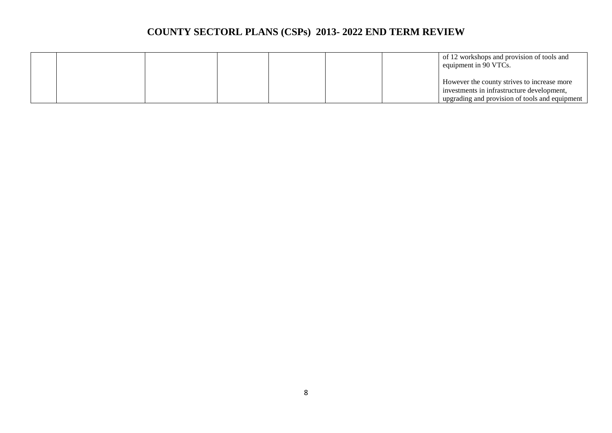|  |  |  | of 12 workshops and provision of tools and<br>equipment in 90 VTCs. |
|--|--|--|---------------------------------------------------------------------|
|  |  |  | However the county strives to increase more                         |
|  |  |  | investments in infrastructure development,                          |
|  |  |  | upgrading and provision of tools and equipment                      |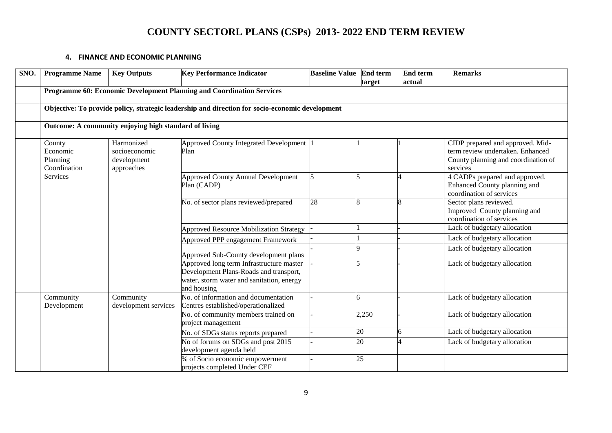#### **4. FINANCE AND ECONOMIC PLANNING**

| SNO. | <b>Programme Name</b>                                                                                                  | <b>Key Performance Indicator</b><br><b>Key Outputs</b>                                          |                                                                                                                                                | <b>Baseline Value End term</b> | target | <b>End term</b><br>actual                                                                  | <b>Remarks</b>                                                                                                          |  |  |  |  |  |  |
|------|------------------------------------------------------------------------------------------------------------------------|-------------------------------------------------------------------------------------------------|------------------------------------------------------------------------------------------------------------------------------------------------|--------------------------------|--------|--------------------------------------------------------------------------------------------|-------------------------------------------------------------------------------------------------------------------------|--|--|--|--|--|--|
|      |                                                                                                                        |                                                                                                 | Programme 60: Economic Development Planning and Coordination Services                                                                          |                                |        |                                                                                            |                                                                                                                         |  |  |  |  |  |  |
|      |                                                                                                                        | Objective: To provide policy, strategic leadership and direction for socio-economic development |                                                                                                                                                |                                |        |                                                                                            |                                                                                                                         |  |  |  |  |  |  |
|      | Outcome: A community enjoying high standard of living                                                                  |                                                                                                 |                                                                                                                                                |                                |        |                                                                                            |                                                                                                                         |  |  |  |  |  |  |
|      | Harmonized<br>County<br>Economic<br>socioeconomic<br>development<br>Planning<br>Coordination<br>approaches<br>Services |                                                                                                 | Approved County Integrated Development<br>Plan                                                                                                 |                                |        |                                                                                            | CIDP prepared and approved. Mid-<br>term review undertaken. Enhanced<br>County planning and coordination of<br>services |  |  |  |  |  |  |
|      |                                                                                                                        | <b>Approved County Annual Development</b><br>Plan (CADP)                                        |                                                                                                                                                |                                |        | 4 CADPs prepared and approved.<br>Enhanced County planning and<br>coordination of services |                                                                                                                         |  |  |  |  |  |  |
|      |                                                                                                                        |                                                                                                 | No. of sector plans reviewed/prepared                                                                                                          | 28                             | 8      | $\overline{\mathbf{8}}$                                                                    | Sector plans reviewed.<br>Improved County planning and<br>coordination of services                                      |  |  |  |  |  |  |
|      |                                                                                                                        |                                                                                                 | <b>Approved Resource Mobilization Strategy</b>                                                                                                 |                                |        |                                                                                            | Lack of budgetary allocation                                                                                            |  |  |  |  |  |  |
|      |                                                                                                                        |                                                                                                 | Approved PPP engagement Framework                                                                                                              |                                |        |                                                                                            | Lack of budgetary allocation                                                                                            |  |  |  |  |  |  |
|      |                                                                                                                        |                                                                                                 | Approved Sub-County development plans                                                                                                          |                                | Q      |                                                                                            | Lack of budgetary allocation                                                                                            |  |  |  |  |  |  |
|      |                                                                                                                        |                                                                                                 | Approved long term Infrastructure master<br>Development Plans-Roads and transport,<br>water, storm water and sanitation, energy<br>and housing |                                | 5      |                                                                                            | Lack of budgetary allocation                                                                                            |  |  |  |  |  |  |
|      | Community<br>Development                                                                                               | Community<br>development services                                                               | No. of information and documentation<br>Centres established/operationalized                                                                    |                                | 6      |                                                                                            | Lack of budgetary allocation                                                                                            |  |  |  |  |  |  |
|      |                                                                                                                        |                                                                                                 | No. of community members trained on<br>project management                                                                                      |                                | 2,250  |                                                                                            | Lack of budgetary allocation                                                                                            |  |  |  |  |  |  |
|      |                                                                                                                        |                                                                                                 | No. of SDGs status reports prepared                                                                                                            |                                | 20     |                                                                                            | Lack of budgetary allocation                                                                                            |  |  |  |  |  |  |
|      |                                                                                                                        |                                                                                                 | No of forums on SDGs and post 2015<br>development agenda held                                                                                  |                                | 20     |                                                                                            | Lack of budgetary allocation                                                                                            |  |  |  |  |  |  |
|      |                                                                                                                        |                                                                                                 | % of Socio economic empowerment<br>projects completed Under CEF                                                                                |                                | 25     |                                                                                            |                                                                                                                         |  |  |  |  |  |  |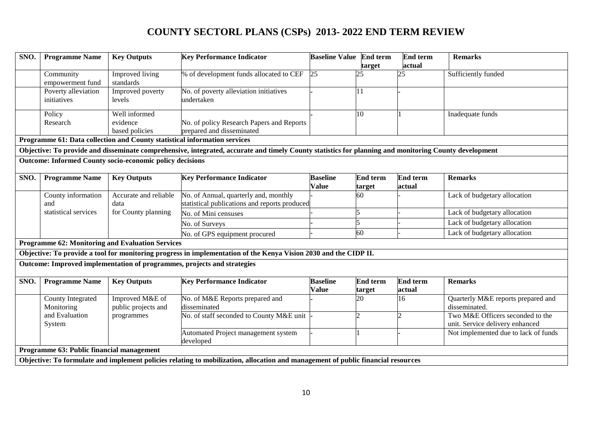| SNO.                                      | <b>Programme Name</b>              | <b>Key Outputs</b>                                              | <b>Key Performance Indicator</b>                                                                                                                      | <b>Baseline Value End term</b>  | target                    | End term<br>actual        | <b>Remarks</b>                                                      |  |  |
|-------------------------------------------|------------------------------------|-----------------------------------------------------------------|-------------------------------------------------------------------------------------------------------------------------------------------------------|---------------------------------|---------------------------|---------------------------|---------------------------------------------------------------------|--|--|
|                                           | Community<br>empowerment fund      | Improved living<br>standards                                    | % of development funds allocated to CEF                                                                                                               | 25                              | 25                        | 25                        | Sufficiently funded                                                 |  |  |
|                                           | Poverty alleviation<br>initiatives | Improved poverty<br>levels                                      | No. of poverty alleviation initiatives<br>undertaken                                                                                                  |                                 | 11                        |                           |                                                                     |  |  |
|                                           | Policy<br>Research                 | Well informed<br>evidence<br>based policies                     | No. of policy Research Papers and Reports<br>prepared and disseminated                                                                                |                                 | 10                        |                           | Inadequate funds                                                    |  |  |
|                                           |                                    |                                                                 | Programme 61: Data collection and County statistical information services                                                                             |                                 |                           |                           |                                                                     |  |  |
|                                           |                                    |                                                                 | Objective: To provide and disseminate comprehensive, integrated, accurate and timely County statistics for planning and monitoring County development |                                 |                           |                           |                                                                     |  |  |
|                                           |                                    | <b>Outcome: Informed County socio-economic policy decisions</b> |                                                                                                                                                       |                                 |                           |                           |                                                                     |  |  |
| SNO.                                      | <b>Programme Name</b>              | <b>Key Outputs</b>                                              | <b>Key Performance Indicator</b>                                                                                                                      | <b>Baseline</b><br><b>Value</b> | <b>End term</b><br>target | <b>End term</b><br>actual | <b>Remarks</b>                                                      |  |  |
|                                           | County information<br>and          | Accurate and reliable<br>data                                   | No. of Annual, quarterly and, monthly<br>statistical publications and reports produced                                                                |                                 | 60                        |                           | Lack of budgetary allocation                                        |  |  |
|                                           | statistical services               | for County planning                                             | No. of Mini censuses                                                                                                                                  |                                 |                           |                           | Lack of budgetary allocation                                        |  |  |
|                                           |                                    |                                                                 | No. of Surveys                                                                                                                                        |                                 | 5                         |                           | Lack of budgetary allocation                                        |  |  |
|                                           |                                    |                                                                 | No. of GPS equipment procured                                                                                                                         |                                 | 60                        |                           | Lack of budgetary allocation                                        |  |  |
|                                           |                                    | <b>Programme 62: Monitoring and Evaluation Services</b>         |                                                                                                                                                       |                                 |                           |                           |                                                                     |  |  |
|                                           |                                    |                                                                 | Objective: To provide a tool for monitoring progress in implementation of the Kenya Vision 2030 and the CIDP II.                                      |                                 |                           |                           |                                                                     |  |  |
|                                           |                                    |                                                                 | Outcome: Improved implementation of programmes, projects and strategies                                                                               |                                 |                           |                           |                                                                     |  |  |
| SNO.                                      | <b>Programme Name</b>              | <b>Key Outputs</b>                                              | <b>Key Performance Indicator</b>                                                                                                                      | <b>Baseline</b><br><b>Value</b> | <b>End term</b><br>target | End term<br>actual        | <b>Remarks</b>                                                      |  |  |
|                                           | County Integrated<br>Monitoring    | Improved M&E of<br>public projects and                          | No. of M&E Reports prepared and<br>disseminated                                                                                                       |                                 | 20                        | 16                        | Quarterly M&E reports prepared and<br>disseminated.                 |  |  |
|                                           | and Evaluation<br>System           | programmes                                                      | No. of staff seconded to County M&E unit                                                                                                              |                                 | າ                         | $\mathcal{D}$             | Two M&E Officers seconded to the<br>unit. Service delivery enhanced |  |  |
|                                           |                                    |                                                                 | Automated Project management system<br>developed                                                                                                      |                                 |                           |                           | Not implemented due to lack of funds                                |  |  |
| Programme 63: Public financial management |                                    |                                                                 |                                                                                                                                                       |                                 |                           |                           |                                                                     |  |  |
|                                           |                                    |                                                                 | Objective: To formulate and implement policies relating to mobilization, allocation and management of public financial resources                      |                                 |                           |                           |                                                                     |  |  |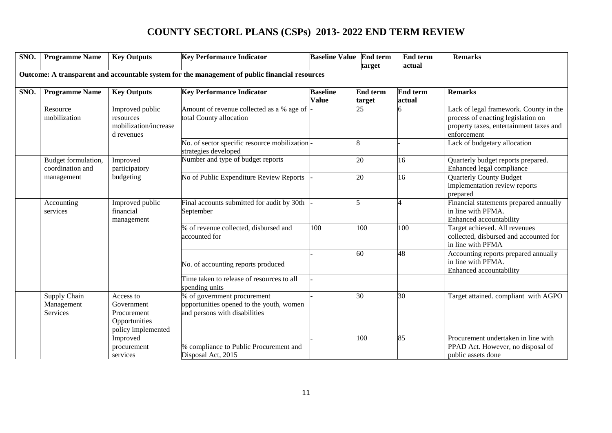| SNO. | <b>Programme Name</b>                                                                           | <b>Key Outputs</b>                                                            | <b>Key Performance Indicator</b>                                                                         | <b>Baseline Value</b>           | <b>End term</b><br>target | <b>End term</b><br>actual | <b>Remarks</b>                                                                                                                         |  |  |  |  |  |
|------|-------------------------------------------------------------------------------------------------|-------------------------------------------------------------------------------|----------------------------------------------------------------------------------------------------------|---------------------------------|---------------------------|---------------------------|----------------------------------------------------------------------------------------------------------------------------------------|--|--|--|--|--|
|      | Outcome: A transparent and accountable system for the management of public financial resources  |                                                                               |                                                                                                          |                                 |                           |                           |                                                                                                                                        |  |  |  |  |  |
| SNO. | <b>Programme Name</b>                                                                           | <b>Key Outputs</b>                                                            | <b>Key Performance Indicator</b>                                                                         | <b>Baseline</b><br><b>Value</b> | <b>End term</b><br>target | End term<br>actual        | <b>Remarks</b>                                                                                                                         |  |  |  |  |  |
|      | Improved public<br>Resource<br>mobilization<br>resources<br>mobilization/increase<br>d revenues |                                                                               | Amount of revenue collected as a % age of<br>total County allocation                                     |                                 | 25                        |                           | Lack of legal framework. County in the<br>process of enacting legislation on<br>property taxes, entertainment taxes and<br>enforcement |  |  |  |  |  |
|      |                                                                                                 |                                                                               | No. of sector specific resource mobilization<br>strategies developed                                     |                                 | $\overline{8}$            |                           | Lack of budgetary allocation                                                                                                           |  |  |  |  |  |
|      | Budget formulation,<br>coordination and                                                         | Improved<br>participatory                                                     | Number and type of budget reports                                                                        |                                 | 20                        | 16                        | Quarterly budget reports prepared.<br>Enhanced legal compliance                                                                        |  |  |  |  |  |
|      | management                                                                                      | budgeting                                                                     | No of Public Expenditure Review Reports                                                                  |                                 | 20                        | 16                        | <b>Quarterly County Budget</b><br>implementation review reports<br>prepared                                                            |  |  |  |  |  |
|      | Accounting<br>services                                                                          | Improved public<br>financial<br>management                                    | Final accounts submitted for audit by 30th<br>September                                                  |                                 | l5                        |                           | Financial statements prepared annually<br>in line with PFMA.<br>Enhanced accountability                                                |  |  |  |  |  |
|      |                                                                                                 |                                                                               | % of revenue collected, disbursed and<br>accounted for                                                   | 100                             | 100                       | 100                       | Target achieved. All revenues<br>collected, disbursed and accounted for<br>in line with PFMA                                           |  |  |  |  |  |
|      |                                                                                                 |                                                                               | No. of accounting reports produced                                                                       |                                 | 60                        | 48                        | Accounting reports prepared annually<br>in line with PFMA.<br>Enhanced accountability                                                  |  |  |  |  |  |
|      |                                                                                                 |                                                                               | Time taken to release of resources to all<br>spending units                                              |                                 |                           |                           |                                                                                                                                        |  |  |  |  |  |
|      | Supply Chain<br>Management<br><b>Services</b>                                                   | Access to<br>Government<br>Procurement<br>Opportunities<br>policy implemented | % of government procurement<br>opportunities opened to the youth, women<br>and persons with disabilities |                                 | 30                        | 30                        | Target attained. compliant with AGPO                                                                                                   |  |  |  |  |  |
|      |                                                                                                 | Improved<br>procurement<br>services                                           | % compliance to Public Procurement and<br>Disposal Act, 2015                                             |                                 | 100                       | 85                        | Procurement undertaken in line with<br>PPAD Act. However, no disposal of<br>public assets done                                         |  |  |  |  |  |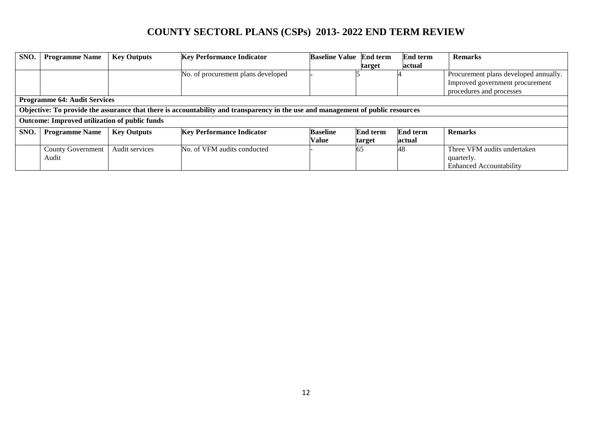| SNO.                                                                                                                            | <b>Programme Name</b>                         | <b>Key Outputs</b> | <b>Key Performance Indicator</b>   | <b>Baseline Value</b> | <b>End term</b> | <b>End term</b> | <b>Remarks</b>                        |  |  |  |
|---------------------------------------------------------------------------------------------------------------------------------|-----------------------------------------------|--------------------|------------------------------------|-----------------------|-----------------|-----------------|---------------------------------------|--|--|--|
|                                                                                                                                 |                                               |                    |                                    |                       | target          | actual          |                                       |  |  |  |
|                                                                                                                                 |                                               |                    | No. of procurement plans developed |                       |                 |                 | Procurement plans developed annually. |  |  |  |
|                                                                                                                                 |                                               |                    |                                    |                       |                 |                 | Improved government procurement       |  |  |  |
|                                                                                                                                 |                                               |                    |                                    |                       |                 |                 | procedures and processes              |  |  |  |
|                                                                                                                                 | <b>Programme 64: Audit Services</b>           |                    |                                    |                       |                 |                 |                                       |  |  |  |
| Objective: To provide the assurance that there is accountability and transparency in the use and management of public resources |                                               |                    |                                    |                       |                 |                 |                                       |  |  |  |
|                                                                                                                                 | Outcome: Improved utilization of public funds |                    |                                    |                       |                 |                 |                                       |  |  |  |
| SNO.                                                                                                                            | <b>Programme Name</b>                         | <b>Key Outputs</b> | <b>Key Performance Indicator</b>   | <b>Baseline</b>       | <b>End term</b> | End term        | <b>Remarks</b>                        |  |  |  |
|                                                                                                                                 |                                               |                    |                                    | <b>Value</b>          | target          | actual          |                                       |  |  |  |
|                                                                                                                                 | <b>County Government</b>                      | Audit services     | No. of VFM audits conducted        |                       | 65              | 48              | Three VFM audits undertaken           |  |  |  |
|                                                                                                                                 | Audit                                         |                    |                                    |                       |                 |                 | quarterly.                            |  |  |  |
|                                                                                                                                 |                                               |                    |                                    |                       |                 |                 | <b>Enhanced Accountability</b>        |  |  |  |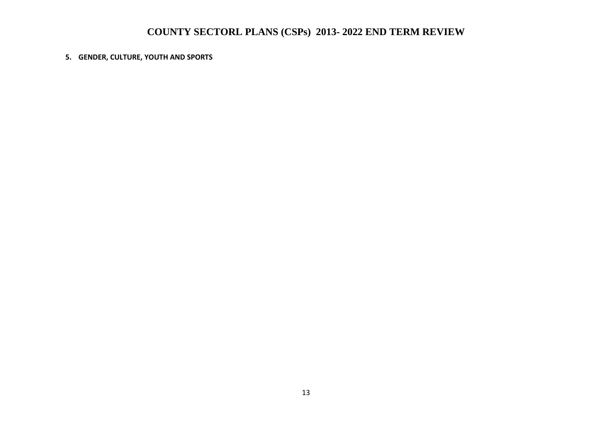#### **5. GENDER, CULTURE, YOUTH AND SPORTS**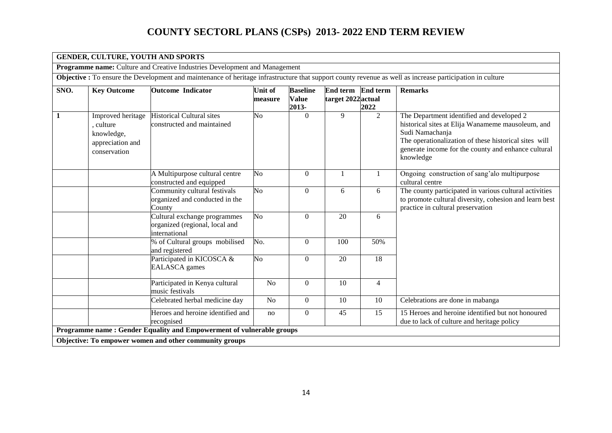|              | <b>GENDER, CULTURE, YOUTH AND SPORTS</b>                                                                                                                  |                                                                                 |                           |                                          |                                       |                  |                                                                                                                                                                                                                                                |  |  |  |  |
|--------------|-----------------------------------------------------------------------------------------------------------------------------------------------------------|---------------------------------------------------------------------------------|---------------------------|------------------------------------------|---------------------------------------|------------------|------------------------------------------------------------------------------------------------------------------------------------------------------------------------------------------------------------------------------------------------|--|--|--|--|
|              |                                                                                                                                                           | Programme name: Culture and Creative Industries Development and Management      |                           |                                          |                                       |                  |                                                                                                                                                                                                                                                |  |  |  |  |
|              | Objective : To ensure the Development and maintenance of heritage infrastructure that support county revenue as well as increase participation in culture |                                                                                 |                           |                                          |                                       |                  |                                                                                                                                                                                                                                                |  |  |  |  |
| SNO.         | <b>Key Outcome</b>                                                                                                                                        | <b>Outcome Indicator</b>                                                        | <b>Unit of</b><br>measure | <b>Baseline</b><br><b>Value</b><br>2013- | <b>End term</b><br>target 2022 actual | End term<br>2022 | <b>Remarks</b>                                                                                                                                                                                                                                 |  |  |  |  |
| $\mathbf{1}$ | Improved heritage<br>, culture<br>knowledge,<br>appreciation and<br>conservation                                                                          | <b>Historical Cultural sites</b><br>constructed and maintained                  | No                        | $\Omega$                                 | 9                                     | $\overline{2}$   | The Department identified and developed 2<br>historical sites at Elija Wanameme mausoleum, and<br>Sudi Namachanja<br>The operationalization of these historical sites will<br>generate income for the county and enhance cultural<br>knowledge |  |  |  |  |
|              |                                                                                                                                                           | A Multipurpose cultural centre<br>constructed and equipped                      | N <sub>o</sub>            | $\theta$                                 |                                       |                  | Ongoing construction of sang'alo multipurpose<br>cultural centre                                                                                                                                                                               |  |  |  |  |
|              |                                                                                                                                                           | Community cultural festivals<br>organized and conducted in the<br>County        | $\overline{N_{O}}$        | $\mathbf{0}$                             | 6                                     | 6                | The county participated in various cultural activities<br>to promote cultural diversity, cohesion and learn best<br>practice in cultural preservation                                                                                          |  |  |  |  |
|              |                                                                                                                                                           | Cultural exchange programmes<br>organized (regional, local and<br>international | $\overline{\text{No}}$    | $\Omega$                                 | 20                                    | 6                |                                                                                                                                                                                                                                                |  |  |  |  |
|              |                                                                                                                                                           | % of Cultural groups mobilised<br>and registered                                | No.                       | $\Omega$                                 | 100                                   | 50%              |                                                                                                                                                                                                                                                |  |  |  |  |
|              |                                                                                                                                                           | Participated in KICOSCA &<br><b>EALASCA</b> games                               | N <sub>o</sub>            | $\Omega$                                 | 20                                    | 18               |                                                                                                                                                                                                                                                |  |  |  |  |
|              |                                                                                                                                                           | Participated in Kenya cultural<br>music festivals                               | N <sub>o</sub>            | $\boldsymbol{0}$                         | 10                                    | $\overline{4}$   |                                                                                                                                                                                                                                                |  |  |  |  |
|              |                                                                                                                                                           | Celebrated herbal medicine day                                                  | N <sub>o</sub>            | $\Omega$                                 | 10                                    | 10               | Celebrations are done in mabanga                                                                                                                                                                                                               |  |  |  |  |
|              |                                                                                                                                                           | Heroes and heroine identified and<br>recognised                                 | no                        | $\boldsymbol{0}$                         | 45                                    | 15               | 15 Heroes and heroine identified but not honoured<br>due to lack of culture and heritage policy                                                                                                                                                |  |  |  |  |
|              |                                                                                                                                                           | Programme name : Gender Equality and Empowerment of vulnerable groups           |                           |                                          |                                       |                  |                                                                                                                                                                                                                                                |  |  |  |  |
|              |                                                                                                                                                           | Objective: To empower women and other community groups                          |                           |                                          |                                       |                  |                                                                                                                                                                                                                                                |  |  |  |  |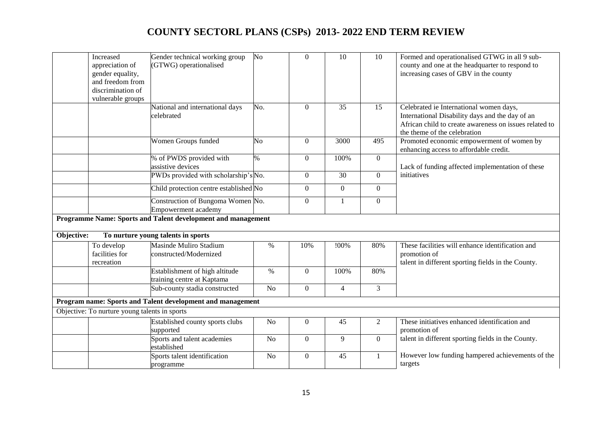|            | Increased<br>appreciation of<br>gender equality,<br>and freedom from<br>discrimination of<br>vulnerable groups | Gender technical working group<br>(GTWG) operationalised     | No              | $\mathbf{0}$     | 10              | 10               | Formed and operationalised GTWG in all 9 sub-<br>county and one at the headquarter to respond to<br>increasing cases of GBV in the county                                            |
|------------|----------------------------------------------------------------------------------------------------------------|--------------------------------------------------------------|-----------------|------------------|-----------------|------------------|--------------------------------------------------------------------------------------------------------------------------------------------------------------------------------------|
|            |                                                                                                                | National and international days<br>celebrated                | No.             | $\Omega$         | 35              | 15               | Celebrated ie International women days,<br>International Disability days and the day of an<br>African child to create awareness on issues related to<br>the theme of the celebration |
|            |                                                                                                                | Women Groups funded                                          | No              | $\Omega$         | 3000            | 495              | Promoted economic empowerment of women by<br>enhancing access to affordable credit.                                                                                                  |
|            |                                                                                                                | % of PWDS provided with<br>assistive devices                 | $\%$            | $\Omega$         | 100%            | $\overline{0}$   | Lack of funding affected implementation of these                                                                                                                                     |
|            |                                                                                                                | PWDs provided with scholarship's No.                         |                 | $\mathbf{0}$     | $\overline{30}$ | $\overline{0}$   | initiatives                                                                                                                                                                          |
|            |                                                                                                                | Child protection centre established No                       |                 | $\mathbf{0}$     | $\overline{0}$  | $\overline{0}$   |                                                                                                                                                                                      |
|            |                                                                                                                | Construction of Bungoma Women No.<br>Empowerment academy     |                 | $\mathbf{0}$     | $\mathbf{1}$    | $\boldsymbol{0}$ |                                                                                                                                                                                      |
|            |                                                                                                                | Programme Name: Sports and Talent development and management |                 |                  |                 |                  |                                                                                                                                                                                      |
| Objective: |                                                                                                                | To nurture young talents in sports                           |                 |                  |                 |                  |                                                                                                                                                                                      |
|            | To develop<br>facilities for<br>recreation                                                                     | Masinde Muliro Stadium<br>constructed/Modernized             | $\%$            | 10%              | !00%            | 80%              | These facilities will enhance identification and<br>promotion of<br>talent in different sporting fields in the County.                                                               |
|            |                                                                                                                | Establishment of high altitude<br>training centre at Kaptama | $\overline{\%}$ | $\Omega$         | 100%            | 80%              |                                                                                                                                                                                      |
|            |                                                                                                                | Sub-county stadia constructed                                | No              | $\overline{0}$   | $\overline{4}$  | $\overline{3}$   |                                                                                                                                                                                      |
|            |                                                                                                                | Program name: Sports and Talent development and management   |                 |                  |                 |                  |                                                                                                                                                                                      |
|            | Objective: To nurture young talents in sports                                                                  |                                                              |                 |                  |                 |                  |                                                                                                                                                                                      |
|            |                                                                                                                | Established county sports clubs<br>supported                 | $\rm No$        | $\mathbf{0}$     | 45              | $\overline{2}$   | These initiatives enhanced identification and<br>promotion of                                                                                                                        |
|            |                                                                                                                | Sports and talent academies<br>established                   | N <sub>o</sub>  | $\Omega$         | 9               | $\overline{0}$   | talent in different sporting fields in the County.                                                                                                                                   |
|            |                                                                                                                | Sports talent identification<br>programme                    | N <sub>o</sub>  | $\boldsymbol{0}$ | 45              | 1                | However low funding hampered achievements of the<br>targets                                                                                                                          |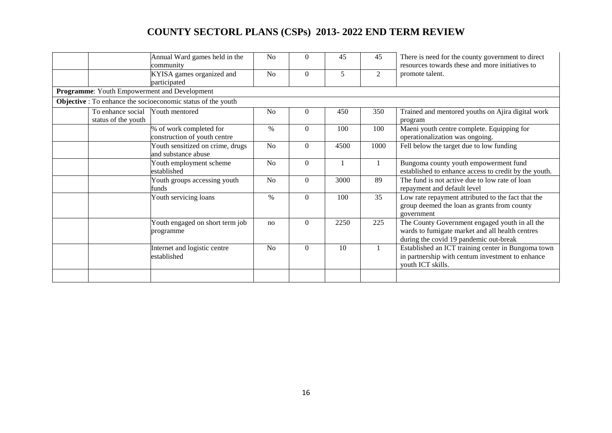|                                          | Annual Ward games held in the<br>community                          | N <sub>0</sub> | $\Omega$       | 45             | 45             | There is need for the county government to direct<br>resources towards these and more initiatives to                                        |
|------------------------------------------|---------------------------------------------------------------------|----------------|----------------|----------------|----------------|---------------------------------------------------------------------------------------------------------------------------------------------|
|                                          | KYISA games organized and<br>participated                           | N <sub>o</sub> | $\Omega$       | 5              | $\overline{2}$ | promote talent.                                                                                                                             |
|                                          | Programme: Youth Empowerment and Development                        |                |                |                |                |                                                                                                                                             |
|                                          | <b>Objective</b> : To enhance the socioeconomic status of the youth |                |                |                |                |                                                                                                                                             |
| To enhance social<br>status of the youth | Youth mentored                                                      | N <sub>o</sub> | $\overline{0}$ | 450            | 350            | Trained and mentored youths on Ajira digital work<br>program                                                                                |
|                                          | % of work completed for<br>construction of youth centre             | $\%$           | $\Omega$       | 100            | 100            | Maeni youth centre complete. Equipping for<br>operationalization was ongoing.                                                               |
|                                          | Youth sensitized on crime, drugs<br>and substance abuse             | N <sub>o</sub> | $\theta$       | 4500           | 1000           | Fell below the target due to low funding                                                                                                    |
|                                          | Youth employment scheme<br>established                              | N <sub>o</sub> | $\theta$       | $\overline{1}$ |                | Bungoma county youth empowerment fund<br>established to enhance access to credit by the youth.                                              |
|                                          | Youth groups accessing youth<br>funds                               | N <sub>o</sub> | $\theta$       | 3000           | 89             | The fund is not active due to low rate of loan<br>repayment and default level                                                               |
|                                          | Youth servicing loans                                               | $\%$           | $\Omega$       | 100            | 35             | Low rate repayment attributed to the fact that the<br>group deemed the loan as grants from county<br>government                             |
|                                          | Youth engaged on short term job<br>programme                        | no             | $\theta$       | 2250           | 225            | The County Government engaged youth in all the<br>wards to fumigate market and all health centres<br>during the covid 19 pandemic out-break |
|                                          | Internet and logistic centre<br>established                         | No             | $\Omega$       | 10             |                | Established an ICT training center in Bungoma town<br>in partnership with centum investment to enhance<br>youth ICT skills.                 |
|                                          |                                                                     |                |                |                |                |                                                                                                                                             |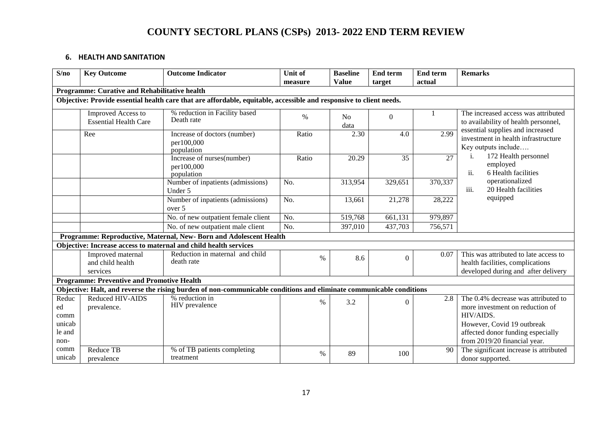#### **6. HEALTH AND SANITATION**

| S/no                     | <b>Key Outcome</b>                                 | <b>Outcome Indicator</b>                                                                                            | <b>Unit of</b>    | <b>Baseline</b><br><b>Value</b> | <b>End term</b>  | <b>End term</b><br>actual | <b>Remarks</b>                                                                                                   |  |
|--------------------------|----------------------------------------------------|---------------------------------------------------------------------------------------------------------------------|-------------------|---------------------------------|------------------|---------------------------|------------------------------------------------------------------------------------------------------------------|--|
|                          | Programme: Curative and Rehabilitative health      |                                                                                                                     | measure           |                                 | target           |                           |                                                                                                                  |  |
|                          |                                                    |                                                                                                                     |                   |                                 |                  |                           |                                                                                                                  |  |
|                          |                                                    | Objective: Provide essential health care that are affordable, equitable, accessible and responsive to client needs. |                   |                                 |                  |                           |                                                                                                                  |  |
|                          | Improved Access to<br><b>Essential Health Care</b> | % reduction in Facility based<br>Death rate                                                                         | $\%$              | N <sub>o</sub><br>data          | $\boldsymbol{0}$ |                           | The increased access was attributed<br>to availability of health personnel,                                      |  |
|                          | Ree                                                | Increase of doctors (number)<br>per100,000<br>population                                                            | Ratio             | 2.30                            | 4.0              | 2.99                      | essential supplies and increased<br>investment in health infrastructure<br>Key outputs include                   |  |
|                          |                                                    | Increase of nurses(number)<br>per100,000<br>population                                                              | Ratio             | 20.29                           | 35               | 27                        | 172 Health personnel<br>i.<br>employed<br>ii.<br>6 Health facilities                                             |  |
|                          |                                                    | Number of inpatients (admissions)<br>Under 5                                                                        | No.               | 313,954                         | 329,651          | 370,337                   | operationalized<br>iii.<br>20 Health facilities                                                                  |  |
|                          |                                                    | Number of inpatients (admissions)<br>over 5                                                                         | No.               | 13,661                          | 21,278           | 28,222                    | equipped                                                                                                         |  |
|                          |                                                    | No. of new outpatient female client                                                                                 | $\overline{No}$ . | 519,768                         | 661,131          | 979,897                   |                                                                                                                  |  |
|                          |                                                    | No. of new outpatient male client                                                                                   | No.               | 397,010                         | 437,703          | 756,571                   |                                                                                                                  |  |
|                          |                                                    | Programme: Reproductive, Maternal, New- Born and Adolescent Health                                                  |                   |                                 |                  |                           |                                                                                                                  |  |
|                          |                                                    | Objective: Increase access to maternal and child health services                                                    |                   |                                 |                  |                           |                                                                                                                  |  |
|                          | Improved maternal<br>and child health<br>services  | Reduction in maternal and child<br>death rate                                                                       | $\%$              | 8.6                             | $\Omega$         | 0.07                      | This was attributed to late access to<br>health facilities, complications<br>developed during and after delivery |  |
|                          | <b>Programme: Preventive and Promotive Health</b>  |                                                                                                                     |                   |                                 |                  |                           |                                                                                                                  |  |
|                          |                                                    | Objective: Halt, and reverse the rising burden of non-communicable conditions and eliminate communicable conditions |                   |                                 |                  |                           |                                                                                                                  |  |
| Reduc<br>ed<br>comm      | <b>Reduced HIV-AIDS</b><br>prevalence.             | % reduction in<br>HIV prevalence                                                                                    | $\%$              | 3.2                             | $\Omega$         | 2.8                       | The 0.4% decrease was attributed to<br>more investment on reduction of<br>HIV/AIDS.                              |  |
| unicab<br>le and<br>non- |                                                    |                                                                                                                     |                   |                                 |                  |                           | However, Covid 19 outbreak<br>affected donor funding especially<br>from 2019/20 financial year.                  |  |
| comm<br>unicab           | Reduce TB<br>prevalence                            | % of TB patients completing<br>treatment                                                                            | $\%$              | 89                              | 100              | 90                        | The significant increase is attributed<br>donor supported.                                                       |  |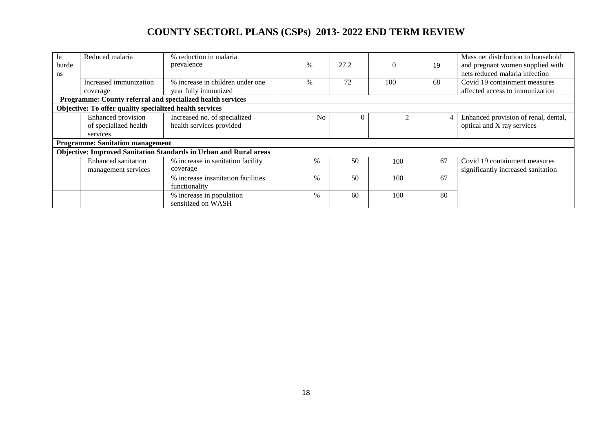| le.<br>burde<br>ns | Reduced malaria                                         | % reduction in malaria<br>prevalence<br>% increase in children under one | $\%$           | 27.2     |     | 19 | Mass net distribution to household<br>and pregnant women supplied with<br>nets reduced malaria infection |
|--------------------|---------------------------------------------------------|--------------------------------------------------------------------------|----------------|----------|-----|----|----------------------------------------------------------------------------------------------------------|
|                    | Increased immunization<br>coverage                      | year fully immunized                                                     | $\%$           | 72       | 100 | 68 | Covid 19 containment measures<br>affected access to immunization                                         |
|                    |                                                         | Programme: County referral and specialized health services               |                |          |     |    |                                                                                                          |
|                    | Objective: To offer quality specialized health services |                                                                          |                |          |     |    |                                                                                                          |
|                    | Enhanced provision<br>of specialized health<br>services | Increased no. of specialized<br>health services provided                 | N <sub>0</sub> | $\Omega$ |     |    | Enhanced provision of renal, dental,<br>optical and X ray services                                       |
|                    | <b>Programme: Sanitation management</b>                 |                                                                          |                |          |     |    |                                                                                                          |
|                    |                                                         | <b>Objective: Improved Sanitation Standards in Urban and Rural areas</b> |                |          |     |    |                                                                                                          |
|                    | <b>Enhanced sanitation</b><br>management services       | % increase in sanitation facility<br>coverage                            | $\%$           | 50       | 100 | 67 | Covid 19 containment measures<br>significantly increased sanitation                                      |
|                    |                                                         | % increase insanitation facilities<br>functionality                      | $\%$           | 50       | 100 | 67 |                                                                                                          |
|                    |                                                         | % increase in population<br>sensitized on WASH                           | $\%$           | 60       | 100 | 80 |                                                                                                          |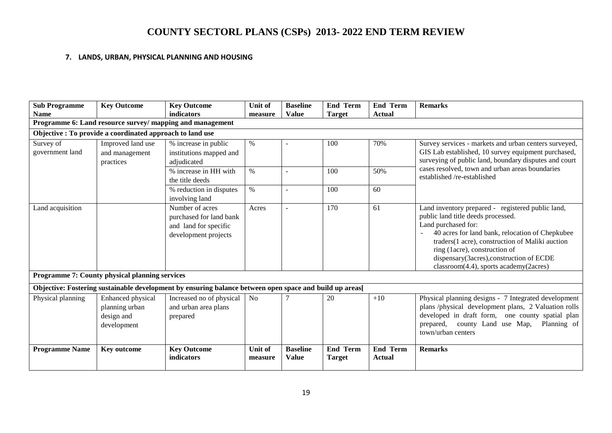#### **7. LANDS, URBAN, PHYSICAL PLANNING AND HOUSING**

| <b>Sub Programme</b><br><b>Name</b>                                              | <b>Key Outcome</b>                                               | <b>Key Outcome</b><br>indicators                                                                        | Unit of<br>measure        | <b>Baseline</b><br><b>Value</b> | <b>End Term</b><br><b>Target</b> | <b>End Term</b><br><b>Actual</b> | <b>Remarks</b>                                                                                                                                                                                                                                                                                                                                     |
|----------------------------------------------------------------------------------|------------------------------------------------------------------|---------------------------------------------------------------------------------------------------------|---------------------------|---------------------------------|----------------------------------|----------------------------------|----------------------------------------------------------------------------------------------------------------------------------------------------------------------------------------------------------------------------------------------------------------------------------------------------------------------------------------------------|
|                                                                                  |                                                                  | Programme 6: Land resource survey/ mapping and management                                               |                           |                                 |                                  |                                  |                                                                                                                                                                                                                                                                                                                                                    |
|                                                                                  | Objective : To provide a coordinated approach to land use        |                                                                                                         |                           |                                 |                                  |                                  |                                                                                                                                                                                                                                                                                                                                                    |
| Improved land use<br>Survey of<br>government land<br>and management<br>practices |                                                                  | % increase in public<br>institutions mapped and<br>adjudicated<br>% increase in HH with                 | $\%$<br>$\%$              |                                 | 100<br>100                       | 70%<br>50%                       | Survey services - markets and urban centers surveyed,<br>GIS Lab established, 10 survey equipment purchased,<br>surveying of public land, boundary disputes and court<br>cases resolved, town and urban areas boundaries<br>established /re-established                                                                                            |
|                                                                                  |                                                                  | the title deeds<br>% reduction in disputes<br>involving land                                            | $\%$                      |                                 | 100                              | 60                               |                                                                                                                                                                                                                                                                                                                                                    |
| Land acquisition                                                                 |                                                                  | Number of acres<br>purchased for land bank<br>and land for specific<br>development projects             | Acres                     |                                 | 170                              | 61                               | Land inventory prepared - registered public land,<br>public land title deeds processed.<br>Land purchased for:<br>40 acres for land bank, relocation of Chepkubee<br>traders(1 acre), construction of Maliki auction<br>ring (1acre), construction of<br>dispensary(3acres), construction of ECDE<br>$classroom(4.4)$ , sports academy $(2a$ cres) |
|                                                                                  | <b>Programme 7: County physical planning services</b>            |                                                                                                         |                           |                                 |                                  |                                  |                                                                                                                                                                                                                                                                                                                                                    |
|                                                                                  |                                                                  | Objective: Fostering sustainable development by ensuring balance between open space and build up areas[ |                           |                                 |                                  |                                  |                                                                                                                                                                                                                                                                                                                                                    |
| Physical planning                                                                | Enhanced physical<br>planning urban<br>design and<br>development | Increased no of physical<br>and urban area plans<br>prepared                                            | N <sub>o</sub>            |                                 | 20                               | $+10$                            | Physical planning designs - 7 Integrated development<br>plans /physical development plans, 2 Valuation rolls<br>developed in draft form, one county spatial plan<br>county Land use Map,<br>Planning of<br>prepared,<br>town/urban centers                                                                                                         |
| <b>Programme Name</b>                                                            | Key outcome                                                      | <b>Key Outcome</b><br>indicators                                                                        | <b>Unit of</b><br>measure | <b>Baseline</b><br><b>Value</b> | End Term<br>Target               | <b>End Term</b><br><b>Actual</b> | <b>Remarks</b>                                                                                                                                                                                                                                                                                                                                     |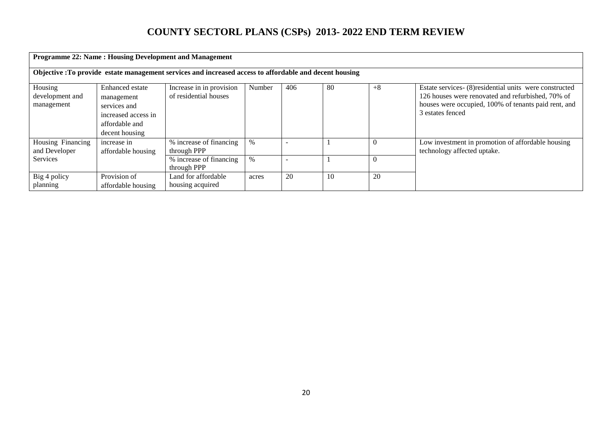|                                                                                                         | <b>Programme 22: Name: Housing Development and Management</b>                                            |                                                   |        |     |    |      |                                                                                                                                                                                          |  |  |  |  |
|---------------------------------------------------------------------------------------------------------|----------------------------------------------------------------------------------------------------------|---------------------------------------------------|--------|-----|----|------|------------------------------------------------------------------------------------------------------------------------------------------------------------------------------------------|--|--|--|--|
| Objective : To provide estate management services and increased access to affordable and decent housing |                                                                                                          |                                                   |        |     |    |      |                                                                                                                                                                                          |  |  |  |  |
| Housing<br>development and<br>management                                                                | Enhanced estate<br>management<br>services and<br>increased access in<br>affordable and<br>decent housing | Increase in in provision<br>of residential houses | Number | 406 | 80 | $+8$ | Estate services- (8) residential units were constructed<br>126 houses were renovated and refurbished, 70% of<br>houses were occupied, 100% of tenants paid rent, and<br>3 estates fenced |  |  |  |  |
| Housing Financing<br>and Developer                                                                      | increase in<br>affordable housing                                                                        | % increase of financing<br>through PPP            | $\%$   |     |    |      | Low investment in promotion of affordable housing<br>technology affected uptake.                                                                                                         |  |  |  |  |
| Services                                                                                                |                                                                                                          | % increase of financing<br>through PPP            | $\%$   |     |    |      |                                                                                                                                                                                          |  |  |  |  |
| Big 4 policy<br>planning                                                                                | Provision of<br>affordable housing                                                                       | Land for affordable<br>housing acquired           | acres  | 20  | 10 | 20   |                                                                                                                                                                                          |  |  |  |  |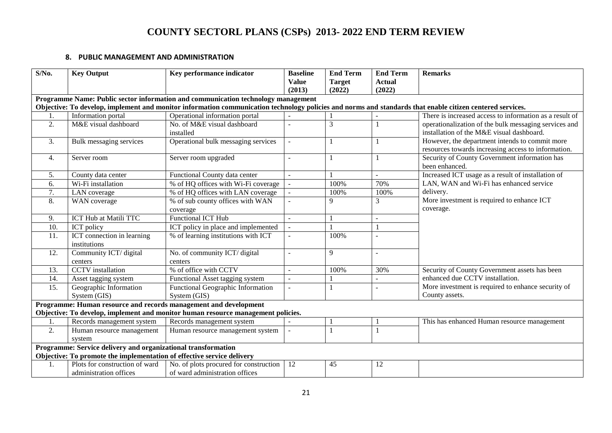#### **8. PUBLIC MANAGEMENT AND ADMINISTRATION**

| $S/N0$ . | <b>Key Output</b>                                                      | Key performance indicator                                                                                                                                 | <b>Baseline</b><br><b>Value</b><br>(2013) | <b>End Term</b><br><b>Target</b><br>(2022) | <b>End Term</b><br><b>Actual</b><br>(2022) | <b>Remarks</b>                                                                                        |
|----------|------------------------------------------------------------------------|-----------------------------------------------------------------------------------------------------------------------------------------------------------|-------------------------------------------|--------------------------------------------|--------------------------------------------|-------------------------------------------------------------------------------------------------------|
|          |                                                                        | Programme Name: Public sector information and communication technology management                                                                         |                                           |                                            |                                            |                                                                                                       |
|          |                                                                        | Objective: To develop, implement and monitor information communication technology policies and norms and standards that enable citizen centered services. |                                           |                                            |                                            |                                                                                                       |
|          | Information portal                                                     | Operational information portal                                                                                                                            |                                           |                                            |                                            | There is increased access to information as a result of                                               |
| 2.       | M&E visual dashboard                                                   | No. of M&E visual dashboard<br>installed                                                                                                                  |                                           | 3                                          |                                            | operationalization of the bulk messaging services and<br>installation of the M&E visual dashboard.    |
| 3.       | <b>Bulk messaging services</b>                                         | Operational bulk messaging services                                                                                                                       | $\sim$                                    |                                            |                                            | However, the department intends to commit more<br>resources towards increasing access to information. |
| 4.       | Server room                                                            | Server room upgraded                                                                                                                                      |                                           |                                            |                                            | Security of County Government information has<br>been enhanced.                                       |
| 5.       | County data center                                                     | Functional County data center                                                                                                                             |                                           |                                            |                                            | Increased ICT usage as a result of installation of                                                    |
| 6.       | Wi-Fi installation                                                     | % of HQ offices with Wi-Fi coverage                                                                                                                       |                                           | 100%                                       | 70%                                        | LAN, WAN and Wi-Fi has enhanced service                                                               |
| 7.       | LAN coverage                                                           | % of HQ offices with LAN coverage                                                                                                                         |                                           | 100%                                       | 100%                                       | delivery.                                                                                             |
| 8.       | WAN coverage                                                           | % of sub county offices with WAN<br>coverage                                                                                                              |                                           | $\mathbf Q$                                | 3                                          | More investment is required to enhance ICT<br>coverage.                                               |
| 9.       | ICT Hub at Matili TTC                                                  | <b>Functional ICT Hub</b>                                                                                                                                 | $\sim$                                    |                                            |                                            |                                                                                                       |
| 10.      | ICT policy                                                             | ICT policy in place and implemented                                                                                                                       |                                           |                                            |                                            |                                                                                                       |
| 11.      | ICT connection in learning<br>institutions                             | % of learning institutions with ICT                                                                                                                       |                                           | 100%                                       |                                            |                                                                                                       |
| 12.      | Community ICT/ digital                                                 | No. of community ICT/ digital                                                                                                                             |                                           | 9                                          |                                            |                                                                                                       |
|          | centers                                                                | centers                                                                                                                                                   |                                           |                                            |                                            |                                                                                                       |
| 13.      | <b>CCTV</b> installation                                               | % of office with CCTV                                                                                                                                     |                                           | 100%                                       | 30%                                        | Security of County Government assets has been                                                         |
| 14.      | Asset tagging system                                                   | Functional Asset tagging system                                                                                                                           |                                           |                                            |                                            | enhanced due CCTV installation.                                                                       |
| 15.      | Geographic Information                                                 | Functional Geographic Information                                                                                                                         |                                           |                                            |                                            | More investment is required to enhance security of                                                    |
|          | System (GIS)                                                           | System (GIS)                                                                                                                                              |                                           |                                            |                                            | County assets.                                                                                        |
|          |                                                                        | Programme: Human resource and records management and development                                                                                          |                                           |                                            |                                            |                                                                                                       |
|          |                                                                        | Objective: To develop, implement and monitor human resource management policies.                                                                          |                                           |                                            |                                            |                                                                                                       |
|          | Records management system                                              | Records management system                                                                                                                                 |                                           |                                            |                                            | This has enhanced Human resource management                                                           |
| 2.       | Human resource management                                              | Human resource management system                                                                                                                          |                                           |                                            |                                            |                                                                                                       |
|          | system                                                                 |                                                                                                                                                           |                                           |                                            |                                            |                                                                                                       |
|          | Programme: Service delivery and organizational transformation          |                                                                                                                                                           |                                           |                                            |                                            |                                                                                                       |
|          | Objective: To promote the implementation of effective service delivery |                                                                                                                                                           |                                           |                                            |                                            |                                                                                                       |
| 1.       | Plots for construction of ward                                         | No. of plots procured for construction                                                                                                                    | 12                                        | 45                                         | 12                                         |                                                                                                       |
|          | administration offices                                                 | of ward administration offices                                                                                                                            |                                           |                                            |                                            |                                                                                                       |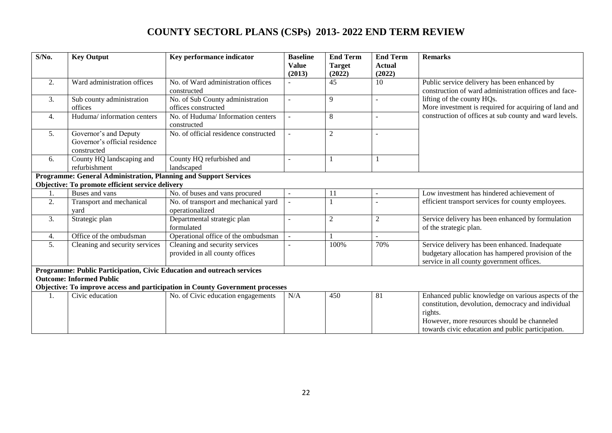| $S/N0$ . | <b>Key Output</b>                                                     | Key performance indicator                                                                                           | <b>Baseline</b><br><b>Value</b><br>(2013) | <b>End Term</b><br><b>Target</b><br>(2022) | <b>End Term</b><br><b>Actual</b><br>(2022) | <b>Remarks</b>                                                                                                                                                                                                           |
|----------|-----------------------------------------------------------------------|---------------------------------------------------------------------------------------------------------------------|-------------------------------------------|--------------------------------------------|--------------------------------------------|--------------------------------------------------------------------------------------------------------------------------------------------------------------------------------------------------------------------------|
| 2.       | Ward administration offices                                           | No. of Ward administration offices<br>constructed                                                                   |                                           | 45                                         | 10                                         | Public service delivery has been enhanced by<br>construction of ward administration offices and face-                                                                                                                    |
| 3.       | Sub county administration<br>offices                                  | No. of Sub County administration<br>offices constructed                                                             |                                           | 9                                          |                                            | lifting of the county HQs.<br>More investment is required for acquiring of land and                                                                                                                                      |
| 4.       | Huduma/ information centers                                           | No. of Huduma/ Information centers<br>constructed                                                                   |                                           | 8                                          |                                            | construction of offices at sub county and ward levels.                                                                                                                                                                   |
| 5.       | Governor's and Deputy<br>Governor's official residence<br>constructed | No. of official residence constructed                                                                               |                                           | $\overline{2}$                             |                                            |                                                                                                                                                                                                                          |
| 6.       | County HQ landscaping and<br>refurbishment                            | County HQ refurbished and<br>landscaped                                                                             |                                           |                                            |                                            |                                                                                                                                                                                                                          |
|          | Programme: General Administration, Planning and Support Services      |                                                                                                                     |                                           |                                            |                                            |                                                                                                                                                                                                                          |
|          | Objective: To promote efficient service delivery                      |                                                                                                                     |                                           |                                            |                                            |                                                                                                                                                                                                                          |
|          | Buses and vans                                                        | No. of buses and vans procured                                                                                      |                                           | 11                                         |                                            | Low investment has hindered achievement of                                                                                                                                                                               |
| 2.       | Transport and mechanical<br>vard                                      | No. of transport and mechanical yard<br>operationalized                                                             |                                           |                                            |                                            | efficient transport services for county employees.                                                                                                                                                                       |
| 3.       | Strategic plan                                                        | Departmental strategic plan<br>formulated                                                                           |                                           | $\overline{2}$                             | 2                                          | Service delivery has been enhanced by formulation<br>of the strategic plan.                                                                                                                                              |
| 4.       | Office of the ombudsman                                               | Operational office of the ombudsman                                                                                 |                                           |                                            |                                            |                                                                                                                                                                                                                          |
| 5.       | Cleaning and security services                                        | Cleaning and security services<br>provided in all county offices                                                    |                                           | 100%                                       | 70%                                        | Service delivery has been enhanced. Inadequate<br>budgetary allocation has hampered provision of the<br>service in all county government offices.                                                                        |
|          | <b>Outcome: Informed Public</b>                                       | Programme: Public Participation, Civic Education and outreach services                                              |                                           |                                            |                                            |                                                                                                                                                                                                                          |
| 1.       | Civic education                                                       | Objective: To improve access and participation in County Government processes<br>No. of Civic education engagements | N/A                                       | 450                                        | 81                                         | Enhanced public knowledge on various aspects of the<br>constitution, devolution, democracy and individual<br>rights.<br>However, more resources should be channeled<br>towards civic education and public participation. |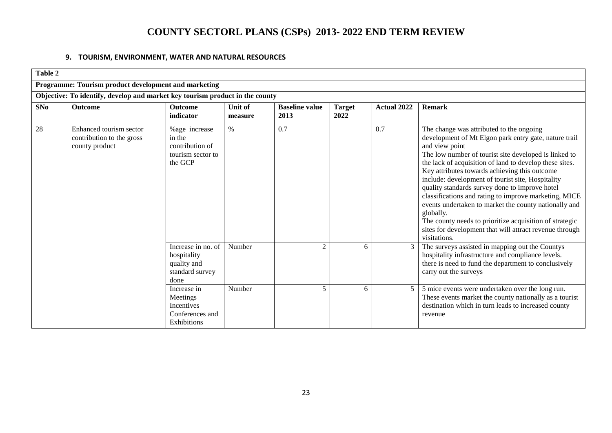#### **9. TOURISM, ENVIRONMENT, WATER AND NATURAL RESOURCES**

| Table 2 |                                                                              |                                                                             |                    |                               |                       |                    |                                                                                                                                                                                                                                                                                                                                                                                                                                                                                                                                                                                                                                                                      |  |  |  |  |
|---------|------------------------------------------------------------------------------|-----------------------------------------------------------------------------|--------------------|-------------------------------|-----------------------|--------------------|----------------------------------------------------------------------------------------------------------------------------------------------------------------------------------------------------------------------------------------------------------------------------------------------------------------------------------------------------------------------------------------------------------------------------------------------------------------------------------------------------------------------------------------------------------------------------------------------------------------------------------------------------------------------|--|--|--|--|
|         | Programme: Tourism product development and marketing                         |                                                                             |                    |                               |                       |                    |                                                                                                                                                                                                                                                                                                                                                                                                                                                                                                                                                                                                                                                                      |  |  |  |  |
|         | Objective: To identify, develop and market key tourism product in the county |                                                                             |                    |                               |                       |                    |                                                                                                                                                                                                                                                                                                                                                                                                                                                                                                                                                                                                                                                                      |  |  |  |  |
| SNo     | <b>Outcome</b>                                                               | <b>Outcome</b><br>indicator                                                 | Unit of<br>measure | <b>Baseline value</b><br>2013 | <b>Target</b><br>2022 | <b>Actual 2022</b> | <b>Remark</b>                                                                                                                                                                                                                                                                                                                                                                                                                                                                                                                                                                                                                                                        |  |  |  |  |
| 28      | Enhanced tourism sector<br>contribution to the gross<br>county product       | %age increase<br>in the<br>contribution of<br>tourism sector to<br>the GCP  | $\%$               | 0.7                           |                       | 0.7                | The change was attributed to the ongoing<br>development of Mt Elgon park entry gate, nature trail<br>and view point<br>The low number of tourist site developed is linked to<br>the lack of acquisition of land to develop these sites.<br>Key attributes towards achieving this outcome<br>include: development of tourist site, Hospitality<br>quality standards survey done to improve hotel<br>classifications and rating to improve marketing, MICE<br>events undertaken to market the county nationally and<br>globally.<br>The county needs to prioritize acquisition of strategic<br>sites for development that will attract revenue through<br>visitations. |  |  |  |  |
|         |                                                                              | Increase in no. of<br>hospitality<br>quality and<br>standard survey<br>done | Number             | $\overline{c}$                | 6                     |                    | The surveys assisted in mapping out the Countys<br>hospitality infrastructure and compliance levels.<br>there is need to fund the department to conclusively<br>carry out the surveys                                                                                                                                                                                                                                                                                                                                                                                                                                                                                |  |  |  |  |
|         |                                                                              | Increase in<br>Meetings<br>Incentives<br>Conferences and<br>Exhibitions     | Number             | 5                             | 6                     | 5                  | 5 mice events were undertaken over the long run.<br>These events market the county nationally as a tourist<br>destination which in turn leads to increased county<br>revenue                                                                                                                                                                                                                                                                                                                                                                                                                                                                                         |  |  |  |  |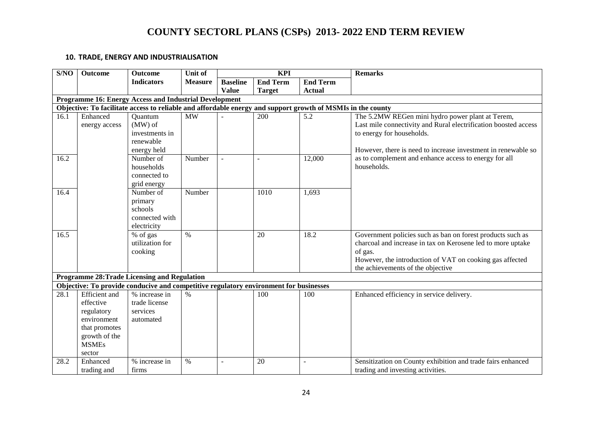#### **10. TRADE, ENERGY AND INDUSTRIALISATION**

| S/NO | Outcome                                                                                                                    | <b>Outcome</b>                                                                                              | Unit of                | <b>KPI</b>      |                  |                  | <b>Remarks</b>                                                                                                                                                                                                                        |
|------|----------------------------------------------------------------------------------------------------------------------------|-------------------------------------------------------------------------------------------------------------|------------------------|-----------------|------------------|------------------|---------------------------------------------------------------------------------------------------------------------------------------------------------------------------------------------------------------------------------------|
|      |                                                                                                                            | <b>Indicators</b>                                                                                           | <b>Measure</b>         | <b>Baseline</b> | <b>End Term</b>  | <b>End Term</b>  |                                                                                                                                                                                                                                       |
|      |                                                                                                                            |                                                                                                             |                        | <b>Value</b>    | <b>Target</b>    | <b>Actual</b>    |                                                                                                                                                                                                                                       |
|      |                                                                                                                            | <b>Programme 16: Energy Access and Industrial Development</b>                                               |                        |                 |                  |                  |                                                                                                                                                                                                                                       |
|      |                                                                                                                            | Objective: To facilitate access to reliable and affordable energy and support growth of MSMIs in the county |                        |                 |                  |                  |                                                                                                                                                                                                                                       |
| 16.1 | Enhanced<br>energy access                                                                                                  | Quantum<br>$(MW)$ of<br>investments in<br>renewable<br>energy held                                          | $\overline{\text{MW}}$ |                 | $\overline{200}$ | $\overline{5.2}$ | The 5.2MW REGen mini hydro power plant at Terem,<br>Last mile connectivity and Rural electrification boosted access<br>to energy for households.<br>However, there is need to increase investment in renewable so                     |
| 16.2 |                                                                                                                            | Number of<br>households<br>connected to<br>grid energy                                                      | Number                 | $\sim$          | $\sim$           | 12,000           | as to complement and enhance access to energy for all<br>households.                                                                                                                                                                  |
| 16.4 |                                                                                                                            | $\overline{\text{Number of}}$<br>primary<br>schools<br>connected with<br>electricity                        | Number                 |                 | 1010             | 1,693            |                                                                                                                                                                                                                                       |
| 16.5 |                                                                                                                            | % of gas<br>utilization for<br>cooking                                                                      | $\frac{0}{0}$          |                 | 20               | 18.2             | Government policies such as ban on forest products such as<br>charcoal and increase in tax on Kerosene led to more uptake<br>of gas.<br>However, the introduction of VAT on cooking gas affected<br>the achievements of the objective |
|      |                                                                                                                            | <b>Programme 28: Trade Licensing and Regulation</b>                                                         |                        |                 |                  |                  |                                                                                                                                                                                                                                       |
|      |                                                                                                                            | Objective: To provide conducive and competitive regulatory environment for businesses                       |                        |                 |                  |                  |                                                                                                                                                                                                                                       |
| 28.1 | <b>Efficient</b> and<br>effective<br>regulatory<br>environment<br>that promotes<br>growth of the<br><b>MSMEs</b><br>sector | % increase in<br>trade license<br>services<br>automated                                                     | $\%$                   |                 | 100              | 100              | Enhanced efficiency in service delivery.                                                                                                                                                                                              |
| 28.2 | Enhanced<br>trading and                                                                                                    | % increase in<br>firms                                                                                      | $\%$                   |                 | 20               |                  | Sensitization on County exhibition and trade fairs enhanced<br>trading and investing activities.                                                                                                                                      |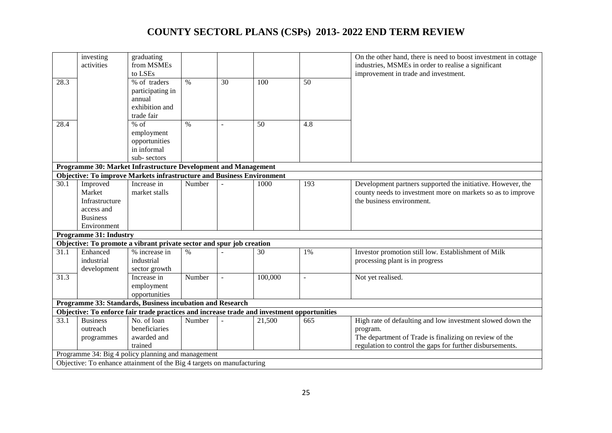|                   | investing<br>activities       | graduating<br>from MSMEs                                                                   |               |    |         |                | On the other hand, there is need to boost investment in cottage<br>industries, MSMEs in order to realise a significant |
|-------------------|-------------------------------|--------------------------------------------------------------------------------------------|---------------|----|---------|----------------|------------------------------------------------------------------------------------------------------------------------|
|                   |                               | to LSEs                                                                                    |               |    |         |                | improvement in trade and investment.                                                                                   |
| 28.3              |                               | % of traders                                                                               | $\%$          | 30 | 100     | 50             |                                                                                                                        |
|                   |                               | participating in                                                                           |               |    |         |                |                                                                                                                        |
|                   |                               | annual                                                                                     |               |    |         |                |                                                                                                                        |
|                   |                               | exhibition and                                                                             |               |    |         |                |                                                                                                                        |
|                   |                               | trade fair                                                                                 |               |    |         |                |                                                                                                                        |
| 28.4              |                               | $%$ of                                                                                     | $\%$          |    | 50      | 4.8            |                                                                                                                        |
|                   |                               | employment                                                                                 |               |    |         |                |                                                                                                                        |
|                   |                               | opportunities                                                                              |               |    |         |                |                                                                                                                        |
|                   |                               | in informal                                                                                |               |    |         |                |                                                                                                                        |
|                   |                               | sub-sectors                                                                                |               |    |         |                |                                                                                                                        |
|                   |                               | Programme 30: Market Infrastructure Development and Management                             |               |    |         |                |                                                                                                                        |
|                   |                               | <b>Objective: To improve Markets infrastructure and Business Environment</b>               |               |    |         |                |                                                                                                                        |
| $\overline{30.1}$ | Improved                      | Increase in                                                                                | Number        |    | 1000    | 193            | Development partners supported the initiative. However, the                                                            |
|                   | Market                        | market stalls                                                                              |               |    |         |                | county needs to investment more on markets so as to improve                                                            |
|                   | Infrastructure                |                                                                                            |               |    |         |                | the business environment.                                                                                              |
|                   | access and                    |                                                                                            |               |    |         |                |                                                                                                                        |
|                   | <b>Business</b>               |                                                                                            |               |    |         |                |                                                                                                                        |
|                   | Environment                   |                                                                                            |               |    |         |                |                                                                                                                        |
|                   | <b>Programme 31: Industry</b> |                                                                                            |               |    |         |                |                                                                                                                        |
|                   |                               | Objective: To promote a vibrant private sector and spur job creation                       |               |    |         |                |                                                                                                                        |
| 31.1              | Enhanced<br>industrial        | % increase in<br>industrial                                                                | $\frac{0}{0}$ |    | 30      | 1%             | Investor promotion still low. Establishment of Milk                                                                    |
|                   |                               |                                                                                            |               |    |         |                | processing plant is in progress                                                                                        |
| 31.3              | development                   | sector growth<br>Increase in                                                               | Number        |    | 100,000 | $\overline{a}$ | Not yet realised.                                                                                                      |
|                   |                               | employment                                                                                 |               |    |         |                |                                                                                                                        |
|                   |                               | opportunities                                                                              |               |    |         |                |                                                                                                                        |
|                   |                               | Programme 33: Standards, Business incubation and Research                                  |               |    |         |                |                                                                                                                        |
|                   |                               | Objective: To enforce fair trade practices and increase trade and investment opportunities |               |    |         |                |                                                                                                                        |
| 33.1              | <b>Business</b>               | No. of loan                                                                                | Number        |    | 21,500  | 665            | High rate of defaulting and low investment slowed down the                                                             |
|                   | outreach                      | beneficiaries                                                                              |               |    |         |                | program.                                                                                                               |
|                   | programmes                    | awarded and                                                                                |               |    |         |                | The department of Trade is finalizing on review of the                                                                 |
|                   |                               | trained                                                                                    |               |    |         |                | regulation to control the gaps for further disbursements.                                                              |
|                   |                               | Programme 34: Big 4 policy planning and management                                         |               |    |         |                |                                                                                                                        |
|                   |                               | Objective: To enhance attainment of the Big 4 targets on manufacturing                     |               |    |         |                |                                                                                                                        |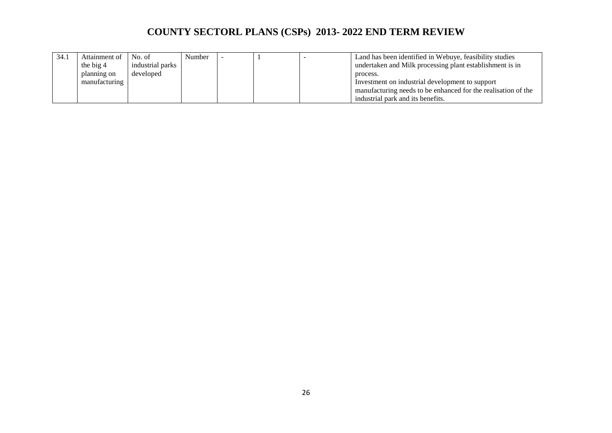| 34.1 | Attainment of | No. of           | Number |  | Land has been identified in Webuye, feasibility studies       |
|------|---------------|------------------|--------|--|---------------------------------------------------------------|
|      | the big 4     | industrial parks |        |  | undertaken and Milk processing plant establishment is in      |
|      | planning on   | developed        |        |  | process.                                                      |
|      | manufacturing |                  |        |  | Investment on industrial development to support               |
|      |               |                  |        |  | manufacturing needs to be enhanced for the realisation of the |
|      |               |                  |        |  | industrial park and its benefits.                             |